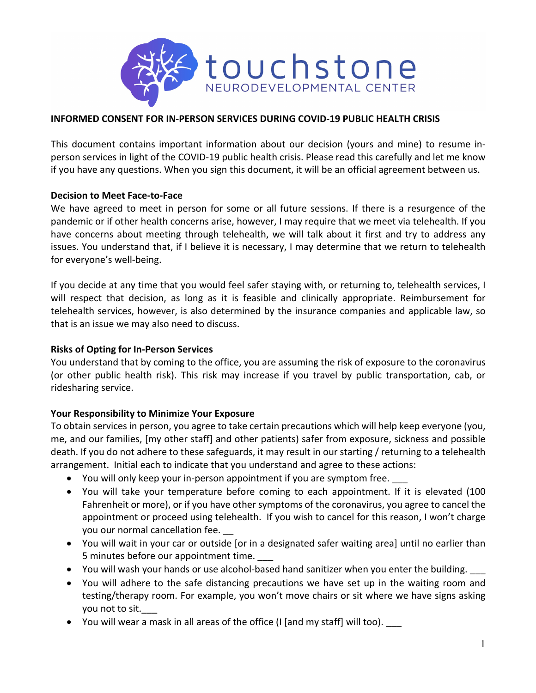

### **INFORMED CONSENT FOR IN-PERSON SERVICES DURING COVID-19 PUBLIC HEALTH CRISIS**

This document contains important information about our decision (yours and mine) to resume inperson services in light of the COVID-19 public health crisis. Please read this carefully and let me know if you have any questions. When you sign this document, it will be an official agreement between us.

#### **Decision to Meet Face-to-Face**

We have agreed to meet in person for some or all future sessions. If there is a resurgence of the pandemic or if other health concerns arise, however, I may require that we meet via telehealth. If you have concerns about meeting through telehealth, we will talk about it first and try to address any issues. You understand that, if I believe it is necessary, I may determine that we return to telehealth for everyone's well-being.

If you decide at any time that you would feel safer staying with, or returning to, telehealth services, I will respect that decision, as long as it is feasible and clinically appropriate. Reimbursement for telehealth services, however, is also determined by the insurance companies and applicable law, so that is an issue we may also need to discuss.

#### **Risks of Opting for In-Person Services**

You understand that by coming to the office, you are assuming the risk of exposure to the coronavirus (or other public health risk). This risk may increase if you travel by public transportation, cab, or ridesharing service.

## **Your Responsibility to Minimize Your Exposure**

To obtain services in person, you agree to take certain precautions which will help keep everyone (you, me, and our families, [my other staff] and other patients) safer from exposure, sickness and possible death. If you do not adhere to these safeguards, it may result in our starting / returning to a telehealth arrangement. Initial each to indicate that you understand and agree to these actions:

- You will only keep your in-person appointment if you are symptom free.
- You will take your temperature before coming to each appointment. If it is elevated (100 Fahrenheit or more), or if you have other symptoms of the coronavirus, you agree to cancel the appointment or proceed using telehealth. If you wish to cancel for this reason, I won't charge you our normal cancellation fee.
- You will wait in your car or outside [or in a designated safer waiting area] until no earlier than 5 minutes before our appointment time. \_\_\_
- You will wash your hands or use alcohol-based hand sanitizer when you enter the building.
- You will adhere to the safe distancing precautions we have set up in the waiting room and testing/therapy room. For example, you won't move chairs or sit where we have signs asking you not to sit.
- You will wear a mask in all areas of the office (I [and my staff] will too).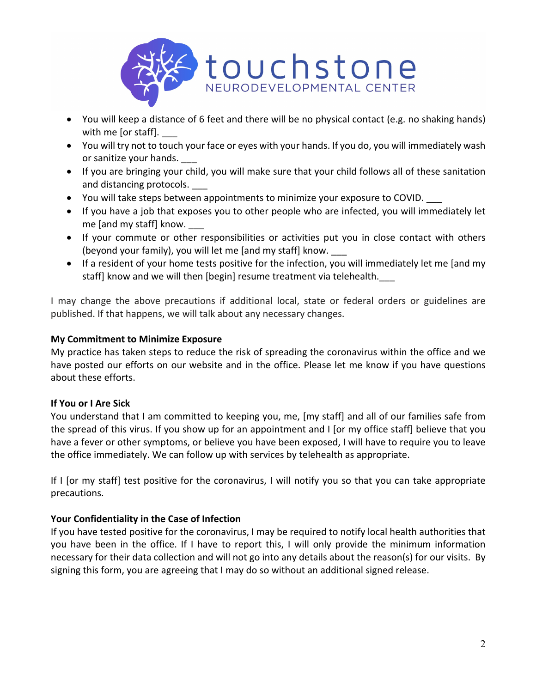

- You will keep a distance of 6 feet and there will be no physical contact (e.g. no shaking hands) with me [or staff].
- You will try not to touch your face or eyes with your hands. If you do, you will immediately wash or sanitize your hands.
- If you are bringing your child, you will make sure that your child follows all of these sanitation and distancing protocols.
- You will take steps between appointments to minimize your exposure to COVID. \_\_\_
- If you have a job that exposes you to other people who are infected, you will immediately let me [and my staff] know. \_\_\_\_
- If your commute or other responsibilities or activities put you in close contact with others (beyond your family), you will let me [and my staff] know. \_\_\_
- If a resident of your home tests positive for the infection, you will immediately let me [and my staff] know and we will then [begin] resume treatment via telehealth.

I may change the above precautions if additional local, state or federal orders or guidelines are published. If that happens, we will talk about any necessary changes.

## **My Commitment to Minimize Exposure**

My practice has taken steps to reduce the risk of spreading the coronavirus within the office and we have posted our efforts on our website and in the office. Please let me know if you have questions about these efforts.

# **If You or I Are Sick**

You understand that I am committed to keeping you, me, [my staff] and all of our families safe from the spread of this virus. If you show up for an appointment and I [or my office staff] believe that you have a fever or other symptoms, or believe you have been exposed, I will have to require you to leave the office immediately. We can follow up with services by telehealth as appropriate.

If I [or my staff] test positive for the coronavirus, I will notify you so that you can take appropriate precautions.

# **Your Confidentiality in the Case of Infection**

If you have tested positive for the coronavirus, I may be required to notify local health authorities that you have been in the office. If I have to report this, I will only provide the minimum information necessary for their data collection and will not go into any details about the reason(s) for our visits. By signing this form, you are agreeing that I may do so without an additional signed release.